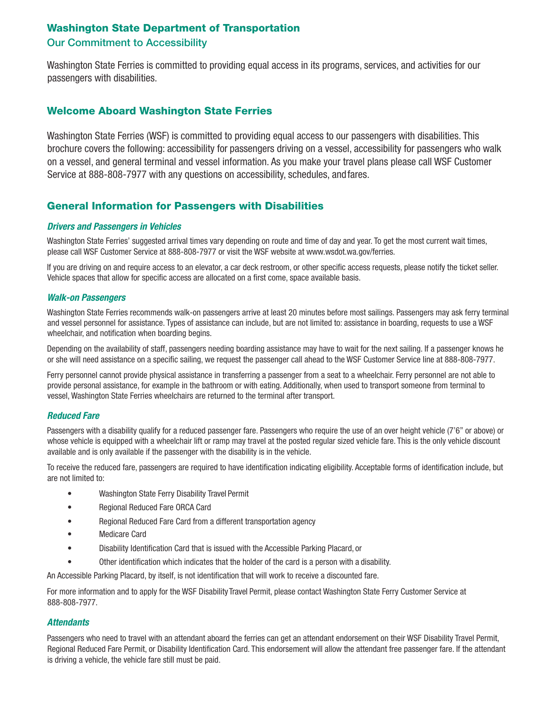# Washington State Department of Transportation

## Our Commitment to Accessibility

Washington State Ferries is committed to providing equal access in its programs, services, and activities for our passengers with disabilities.

## Welcome Aboard Washington State Ferries

Washington State Ferries (WSF) is committed to providing equal access to our passengers with disabilities. This brochure covers the following: accessibility for passengers driving on a vessel, accessibility for passengers who walk on a vessel, and general terminal and vessel information. As you make your travel plans please call WSF Customer Service at 888-808-7977 with any questions on accessibility, schedules, andfares.

## General Information for Passengers with Disabilities

#### *Drivers and Passengers in Vehicles*

Washington State Ferries' suggested arrival times vary depending on route and time of day and year. To get the most current wait times, please call WSF Customer Service at 888-808-7977 or visit the WSF website at [www.wsdot.wa.gov/ferries.](http://www.wsdot.wa.gov/ferries)

If you are driving on and require access to an elevator, a car deck restroom, or other specific access requests, please notify the ticket seller. Vehicle spaces that allow for specific access are allocated on a first come, space available basis.

#### *Walk-on Passengers*

Washington State Ferries recommends walk-on passengers arrive at least 20 minutes before most sailings. Passengers may ask ferry terminal and vessel personnel for assistance. Types of assistance can include, but are not limited to: assistance in boarding, requests to use a WSF wheelchair, and notification when boarding begins.

Depending on the availability of staff, passengers needing boarding assistance may have to wait for the next sailing. If a passenger knows he or she will need assistance on a specific sailing, we request the passenger call ahead to the WSF Customer Service line at 888-808-7977.

Ferry personnel cannot provide physical assistance in transferring a passenger from a seat to a wheelchair. Ferry personnel are not able to provide personal assistance, for example in the bathroom or with eating. Additionally, when used to transport someone from terminal to vessel, Washington State Ferries wheelchairs are returned to the terminal after transport.

#### *Reduced Fare*

Passengers with a disability qualify for a reduced passenger fare. Passengers who require the use of an over height vehicle (7'6" or above) or whose vehicle is equipped with a wheelchair lift or ramp may travel at the posted regular sized vehicle fare. This is the only vehicle discount available and is only available if the passenger with the disability is in the vehicle.

To receive the reduced fare, passengers are required to have identification indicating eligibility. Acceptable forms of identification include, but are not limited to:

- Washington State Ferry Disability Travel Permit
- Regional Reduced Fare ORCA Card
- Regional Reduced Fare Card from a different transportation agency
- Medicare Card
- Disability Identification Card that is issued with the Accessible Parking Placard, or
- Other identification which indicates that the holder of the card is a person with a disability.

An Accessible Parking Placard, by itself, is not identification that will work to receive a discounted fare.

For more information and to apply for the WSF Disability Travel Permit, please contact Washington State Ferry Customer Service at 888-808-7977.

#### *Attendants*

Passengers who need to travel with an attendant aboard the ferries can get an attendant endorsement on their WSF Disability Travel Permit, Regional Reduced Fare Permit, or Disability Identification Card. This endorsement will allow the attendant free passenger fare. If the attendant is driving a vehicle, the vehicle fare still must be paid.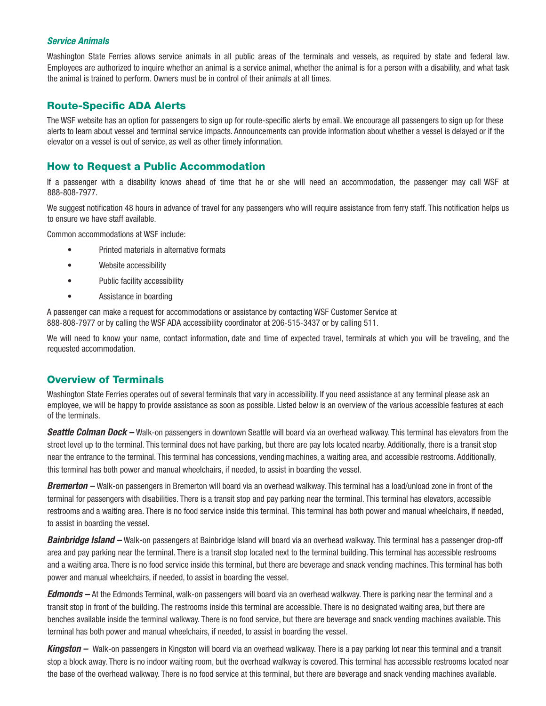#### *Service Animals*

Washington State Ferries allows service animals in all public areas of the terminals and vessels, as required by state and federal law. Employees are authorized to inquire whether an animal is a service animal, whether the animal is for a person with a disability, and what task the animal is trained to perform. Owners must be in control of their animals at all times.

## Route-Specific ADA Alerts

The WSF website has an option for passengers to sign up for route-specific alerts by email. We encourage all passengers to sign up for these alerts to learn about vessel and terminal service impacts. Announcements can provide information about whether a vessel is delayed or if the elevator on a vessel is out of service, as well as other timely information.

## How to Request a Public Accommodation

 If a passenger with a disability knows ahead of time that he or she will need an accommodation, the passenger may call WSF at 888-808-7977.

We suggest notification 48 hours in advance of travel for any passengers who will require assistance from ferry staff. This notification helps us to ensure we have staff available.

Common accommodations at WSF include:

- Printed materials in alternative formats
- Website accessibility
- Public facility accessibility
- Assistance in boarding

A passenger can make a request for accommodations or assistance by contacting WSF Customer Service at 888-808-7977 or by calling the WSF ADA accessibility coordinator at 206-515-3437 or by calling 511.

We will need to know your name, contact information, date and time of expected travel, terminals at which you will be traveling, and the requested accommodation.

### Overview of Terminals

Washington State Ferries operates out of several terminals that vary in accessibility. If you need assistance at any terminal please ask an employee, we will be happy to provide assistance as soon as possible. Listed below is an overview of the various accessible features at each of the terminals.

 street level up to the terminal. This terminal does not have parking, but there are pay lots located nearby. Additionally, there is a transit stop near the entrance to the terminal. This terminal has concessions, vending machines, a waiting area, and accessible restrooms. Additionally, *Seattle Colman Dock –* Walk-on passengers in downtown Seattle will board via an overhead walkway. This terminal has elevators from the this terminal has both power and manual wheelchairs, if needed, to assist in boarding the vessel.

 restrooms and a waiting area. There is no food service inside this terminal. This terminal has both power and manual wheelchairs, if needed, *Bremerton –* Walk-on passengers in Bremerton will board via an overhead walkway. This terminal has a load/unload zone in front of the terminal for passengers with disabilities. There is a transit stop and pay parking near the terminal. This terminal has elevators, accessible to assist in boarding the vessel.

*Bainbridge Island –* Walk-on passengers at Bainbridge Island will board via an overhead walkway. This terminal has a passenger drop-off area and pay parking near the terminal. There is a transit stop located next to the terminal building. This terminal has accessible restrooms and a waiting area. There is no food service inside this terminal, but there are beverage and snack vending machines. This terminal has both power and manual wheelchairs, if needed, to assist in boarding the vessel.

*Edmonds –* At the Edmonds Terminal, walk-on passengers will board via an overhead walkway. There is parking near the terminal and a transit stop in front of the building. The restrooms inside this terminal are accessible. There is no designated waiting area, but there are benches available inside the terminal walkway. There is no food service, but there are beverage and snack vending machines available. This terminal has both power and manual wheelchairs, if needed, to assist in boarding the vessel.

*Kingston –* Walk-on passengers in Kingston will board via an overhead walkway. There is a pay parking lot near this terminal and a transit stop a block away. There is no indoor waiting room, but the overhead walkway is covered. This terminal has accessible restrooms located near the base of the overhead walkway. There is no food service at this terminal, but there are beverage and snack vending machines available.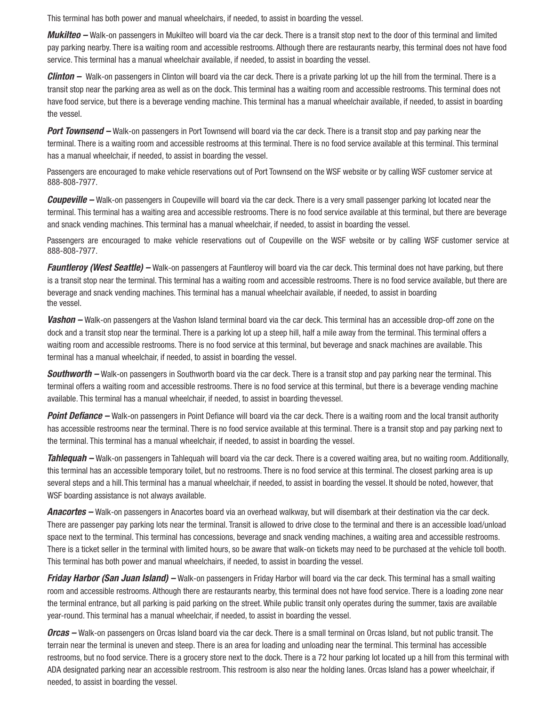This terminal has both power and manual wheelchairs, if needed, to assist in boarding the vessel.

 pay parking nearby. There isa waiting room and accessible restrooms. Although there are restaurants nearby, this terminal does not have food *Mukilteo –* Walk-on passengers in Mukilteo will board via the car deck. There is a transit stop next to the door of this terminal and limited service. This terminal has a manual wheelchair available, if needed, to assist in boarding the vessel.

*Clinton –* Walk-on passengers in Clinton will board via the car deck. There is a private parking lot up the hill from the terminal. There is a transit stop near the parking area as well as on the dock. This terminal has a waiting room and accessible restrooms. This terminal does not have food service, but there is a beverage vending machine. This terminal has a manual wheelchair available, if needed, to assist in boarding the vessel.

*Port Townsend –* Walk-on passengers in Port Townsend will board via the car deck. There is a transit stop and pay parking near the terminal. There is a waiting room and accessible restrooms at this terminal. There is no food service available at this terminal. This terminal has a manual wheelchair, if needed, to assist in boarding the vessel.

Passengers are encouraged to make vehicle reservations out of Port Townsend on the WSF website or by calling WSF customer service at 888-808-7977.

*Coupeville –* Walk-on passengers in Coupeville will board via the car deck. There is a very small passenger parking lot located near the terminal. This terminal has a waiting area and accessible restrooms. There is no food service available at this terminal, but there are beverage and snack vending machines. This terminal has a manual wheelchair, if needed, to assist in boarding the vessel.

Passengers are encouraged to make vehicle reservations out of Coupeville on the WSF website or by calling WSF customer service at 888-808-7977.

*Fauntleroy (West Seattle) –* Walk-on passengers at Fauntleroy will board via the car deck. This terminal does not have parking, but there is a transit stop near the terminal. This terminal has a waiting room and accessible restrooms. There is no food service available, but there are beverage and snack vending machines. This terminal has a manual wheelchair available, if needed, to assist in boarding the vessel.

*Vashon –* Walk-on passengers at the Vashon Island terminal board via the car deck. This terminal has an accessible drop-off zone on the dock and a transit stop near the terminal. There is a parking lot up a steep hill, half a mile away from the terminal. This terminal offers a waiting room and accessible restrooms. There is no food service at this terminal, but beverage and snack machines are available. This terminal has a manual wheelchair, if needed, to assist in boarding the vessel.

*Southworth –* Walk-on passengers in Southworth board via the car deck. There is a transit stop and pay parking near the terminal. This terminal offers a waiting room and accessible restrooms. There is no food service at this terminal, but there is a beverage vending machine available. This terminal has a manual wheelchair, if needed, to assist in boarding thevessel.

*Point Defiance –* Walk-on passengers in Point Defiance will board via the car deck. There is a waiting room and the local transit authority has accessible restrooms near the terminal. There is no food service available at this terminal. There is a transit stop and pay parking next to the terminal. This terminal has a manual wheelchair, if needed, to assist in boarding the vessel.

 *Tahlequah –* Walk-on passengers in Tahlequah will board via the car deck. There is a covered waiting area, but no waiting room. Additionally, several steps and a hill.This terminal has a manual wheelchair, if needed, to assist in boarding the vessel. It should be noted, however, that this terminal has an accessible temporary toilet, but no restrooms. There is no food service at this terminal. The closest parking area is up WSF boarding assistance is not always available.

*Anacortes –* Walk-on passengers in Anacortes board via an overhead walkway, but will disembark at their destination via the car deck. There are passenger pay parking lots near the terminal. Transit is allowed to drive close to the terminal and there is an accessible load/unload space next to the terminal. This terminal has concessions, beverage and snack vending machines, a waiting area and accessible restrooms. There is a ticket seller in the terminal with limited hours, so be aware that walk-on tickets may need to be purchased at the vehicle toll booth. This terminal has both power and manual wheelchairs, if needed, to assist in boarding the vessel.

*Friday Harbor (San Juan Island) –* Walk-on passengers in Friday Harbor will board via the car deck. This terminal has a small waiting room and accessible restrooms. Although there are restaurants nearby, this terminal does not have food service. There is a loading zone near the terminal entrance, but all parking is paid parking on the street. While public transit only operates during the summer, taxis are available year-round. This terminal has a manual wheelchair, if needed, to assist in boarding the vessel.

*Orcas –* Walk-on passengers on Orcas Island board via the car deck. There is a small terminal on Orcas Island, but not public transit. The terrain near the terminal is uneven and steep. There is an area for loading and unloading near the terminal. This terminal has accessible restrooms, but no food service. There is a grocery store next to the dock. There is a 72 hour parking lot located up a hill from this terminal with ADA designated parking near an accessible restroom. This restroom is also near the holding lanes. Orcas Island has a power wheelchair, if needed, to assist in boarding the vessel.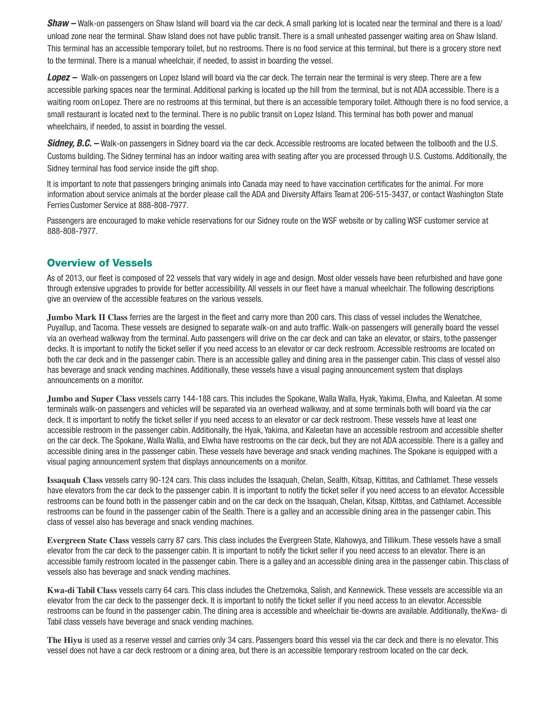**Shaw** – Walk-on passengers on Shaw Island will board via the car deck. A small parking lot is located near the terminal and there is a load/ unload zone near the terminal. Shaw Island does not have public transit. There is a small unheated passenger waiting area on Shaw Island. This terminal has an accessible temporary toilet, but no restrooms. There is no food service at this terminal, but there is a grocery store next to the terminal. There is a manual wheelchair, if needed, to assist in boarding the vessel.

 waiting room on Lopez. There are no restrooms at this terminal, but there is an accessible temporary toilet. Although there is no food service, a **Lopez –** Walk-on passengers on Lopez Island will board via the car deck. The terrain near the terminal is very steep. There are a few accessible parking spaces near the terminal. Additional parking is located up the hill from the terminal, but is not ADA accessible. There is a small restaurant is located next to the terminal. There is no public transit on Lopez Island. This terminal has both power and manual wheelchairs, if needed, to assist in boarding the vessel.

*Sidney, B.C. –* Walk-on passengers in Sidney board via the car deck. Accessible restrooms are located between the tollbooth and the U.S. Customs building. The Sidney terminal has an indoor waiting area with seating after you are processed through U.S. Customs. Additionally, the Sidney terminal has food service inside the gift shop.

It is important to note that passengers bringing animals into Canada may need to have vaccination certificates for the animal. For more information about service animals at the border please call the ADA and Diversity Affairs Team at 206-515-3437, or contact Washington State Ferries Customer Service at 888-808-7977.

Passengers are encouraged to make vehicle reservations for our Sidney route on the WSF website or by calling WSF customer service at 888-808-7977.

## Overview of Vessels

As of 2013, our fleet is composed of 22 vessels that vary widely in age and design. Most older vessels have been refurbished and have gone through extensive upgrades to provide for better accessibility. All vessels in our fleet have a manual wheelchair. The following descriptions give an overview of the accessible features on the various vessels.

 decks. It is important to notify the ticket seller if you need access to an elevator or car deck restroom. Accessible restrooms are located on **Jumbo Mark II Class** ferries are the largest in the fleet and carry more than 200 cars. This class of vessel includes the Wenatchee, Puyallup, and Tacoma. These vessels are designed to separate walk-on and auto traffic. Walk-on passengers will generally board the vessel via an overhead walkway from the terminal. Auto passengers will drive on the car deck and can take an elevator, or stairs, tothe passenger both the car deck and in the passenger cabin. There is an accessible galley and dining area in the passenger cabin. This class of vessel also has beverage and snack vending machines. Additionally, these vessels have a visual paging announcement system that displays announcements on a monitor.

 on the car deck. The Spokane, Walla Walla, and Elwha have restrooms on the car deck, but they are not ADA accessible. There is a galley and **Jumbo and Super Class** vessels carry 144-188 cars. This includes the Spokane, Walla Walla, Hyak, Yakima, Elwha, and Kaleetan. At some terminals walk-on passengers and vehicles will be separated via an overhead walkway, and at some terminals both will board via the car deck. It is important to notify the ticket seller if you need access to an elevator or car deck restroom. These vessels have at least one accessible restroom in the passenger cabin. Additionally, the Hyak, Yakima, and Kaleetan have an accessible restroom and accessible shelter accessible dining area in the passenger cabin. These vessels have beverage and snack vending machines. The Spokane is equipped with a visual paging announcement system that displays announcements on a monitor.

**Issaquah Class** vessels carry 90-124 cars. This class includes the Issaquah, Chelan, Sealth, Kitsap, Kittitas, and Cathlamet. These vessels have elevators from the car deck to the passenger cabin. It is important to notify the ticket seller if you need access to an elevator. Accessible restrooms can be found both in the passenger cabin and on the car deck on the Issaquah, Chelan, Kitsap, Kittitas, and Cathlamet. Accessible restrooms can be found in the passenger cabin of the Sealth. There is a galley and an accessible dining area in the passenger cabin. This class of vessel also has beverage and snack vending machines.

 accessible family restroom located in the passenger cabin. There is a galley and an accessible dining area in the passenger cabin. This class of **Evergreen State Class** vessels carry 87 cars. This class includes the Evergreen State, Klahowya, and Tillikum. These vessels have a small elevator from the car deck to the passenger cabin. It is important to notify the ticket seller if you need access to an elevator. There is an vessels also has beverage and snack vending machines.

**Kwa-di Tabil Class** vessels carry 64 cars. This class includes the Chetzemoka, Salish, and Kennewick. These vessels are accessible via an elevator from the car deck to the passenger deck. It is important to notify the ticket seller if you need access to an elevator. Accessible restrooms can be found in the passenger cabin. The dining area is accessible and wheelchair tie-downs are available. Additionally, theKwa- di Tabil class vessels have beverage and snack vending machines.

**The Hiyu** is used as a reserve vessel and carries only 34 cars. Passengers board this vessel via the car deck and there is no elevator. This vessel does not have a car deck restroom or a dining area, but there is an accessible temporary restroom located on the car deck.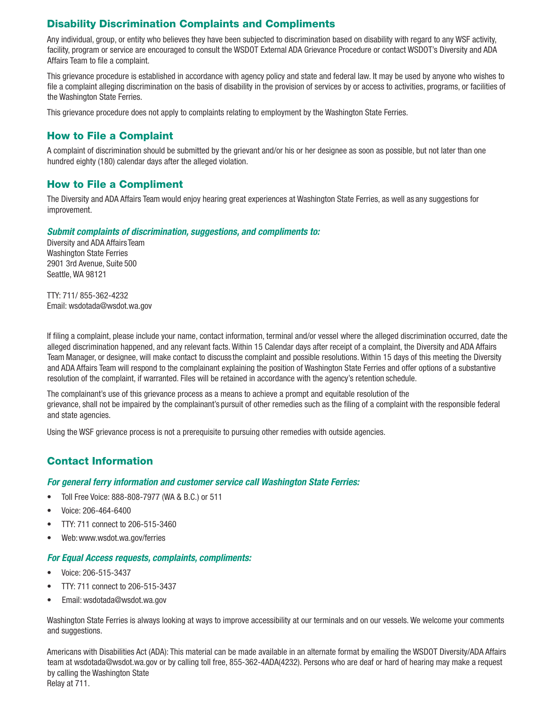# Disability Discrimination Complaints and Compliments

Any individual, group, or entity who believes they have been subjected to discrimination based on disability with regard to any WSF activity, facility, program or service are encouraged to consult the WSDOT External ADA Grievance Procedure or contact WSDOT's Diversity and ADA Affairs Team to file a complaint.

This grievance procedure is established in accordance with agency policy and state and federal law. It may be used by anyone who wishes to file a complaint alleging discrimination on the basis of disability in the provision of services by or access to activities, programs, or facilities of the Washington State Ferries.

This grievance procedure does not apply to complaints relating to employment by the Washington State Ferries.

# How to File a Complaint

A complaint of discrimination should be submitted by the grievant and/or his or her designee as soon as possible, but not later than one hundred eighty (180) calendar days after the alleged violation.

## How to File a Compliment

The Diversity and ADA Affairs Team would enjoy hearing great experiences at Washington State Ferries, as well as any suggestions for improvement.

#### *Submit complaints of discrimination, suggestions, and compliments to:*

Diversity and ADA AffairsTeam Washington State Ferries 2901 3rd Avenue, Suite 500 Seattle, WA 98121

TTY: 711/ 855-362-4232 Email: [wsdotada@wsdot.wa.gov](mailto:wsdotada@wsdot.wa.gov)

If filing a complaint, please include your name, contact information, terminal and/or vessel where the alleged discrimination occurred, date the alleged discrimination happened, and any relevant facts. Within 15 Calendar days after receipt of a complaint, the Diversity and ADA Affairs Team Manager, or designee, will make contact to discuss the complaint and possible resolutions. Within 15 days of this meeting the Diversity and ADA Affairs Team will respond to the complainant explaining the position of Washington State Ferries and offer options of a substantive resolution of the complaint, if warranted. Files will be retained in accordance with the agency's retention schedule.

The complainant's use of this grievance process as a means to achieve a prompt and equitable resolution of the grievance, shall not be impaired by the complainant's pursuit of other remedies such as the filing of a complaint with the responsible federal and state agencies.

Using the WSF grievance process is not a prerequisite to pursuing other remedies with outside agencies.

## Contact Information

#### *For general ferry information and customer service call Washington State Ferries:*

- Toll Free Voice: 888-808-7977 (WA & B.C.) or 511
- Voice: 206-464-6400
- TTY: 711 connect to 206-515-3460
- Web:[www.wsdot.wa.gov/ferries](http://www.wsdot.wa.gov/ferries)

#### *For Equal Access requests, complaints, compliments:*

- Voice: 206-515-3437
- TTY: 711 connect to 206-515-3437
- Email: [wsdotada@wsdot.wa.gov](mailto:wsdotada@wsdot.wa.gov)

Washington State Ferries is always looking at ways to improve accessibility at our terminals and on our vessels. We welcome your comments and suggestions.

Americans with Disabilities Act (ADA): This material can be made available in an alternate format by emailing the WSDOT Diversity/ADA [Affairs](mailto:wsdotada@wsdot.wa.gov)  [team at wsdotada@wsdot.wa.gov](mailto:wsdotada@wsdot.wa.gov) or by calling toll free, 855-362-4ADA(4232). Persons who are deaf or hard of hearing may make a request by calling the Washington State Relay at 711.